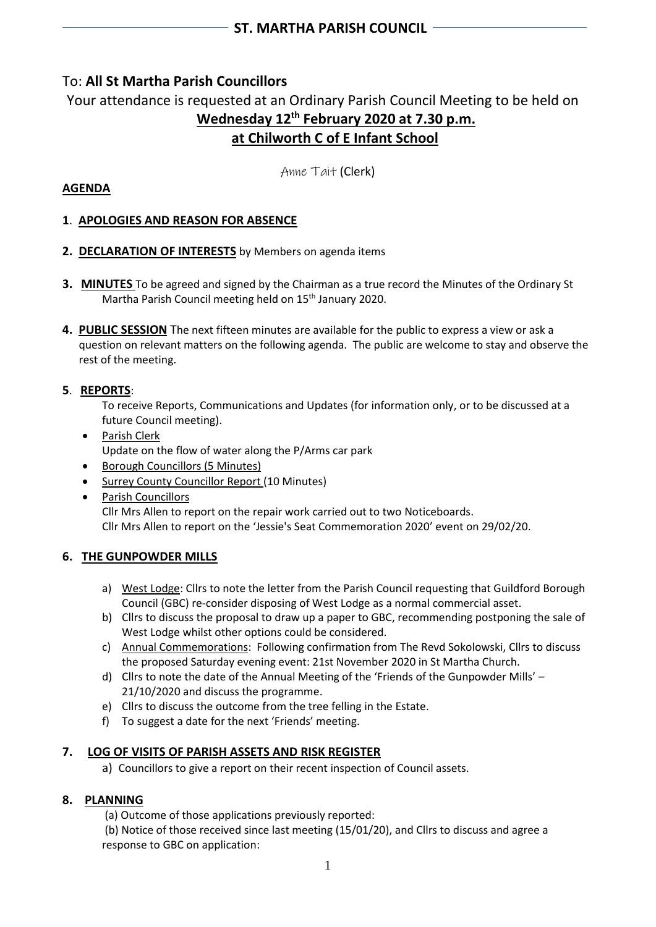# To: **All St Martha Parish Councillors**

Your attendance is requested at an Ordinary Parish Council Meeting to be held on **Wednesday 12 th February 2020 at 7.30 p.m. at Chilworth C of E Infant School**

Anne Tait (Clerk)

# **AGENDA**

# **1**. **APOLOGIES AND REASON FOR ABSENCE**

- **2. DECLARATION OF INTERESTS** by Members on agenda items
- **3. MINUTES** To be agreed and signed by the Chairman as a true record the Minutes of the Ordinary St Martha Parish Council meeting held on 15<sup>th</sup> January 2020.
- **4. PUBLIC SESSION** The next fifteen minutes are available for the public to express a view or ask a question on relevant matters on the following agenda. The public are welcome to stay and observe the rest of the meeting.

## **5**. **REPORTS**:

To receive Reports, Communications and Updates (for information only, or to be discussed at a future Council meeting).

- Parish Clerk Update on the flow of water along the P/Arms car park
- Borough Councillors (5 Minutes)
- Surrey County Councillor Report (10 Minutes)
- Parish Councillors Cllr Mrs Allen to report on the repair work carried out to two Noticeboards. Cllr Mrs Allen to report on the 'Jessie's Seat Commemoration 2020' event on 29/02/20.

# **6. THE GUNPOWDER MILLS**

- a) West Lodge: Cllrs to note the letter from the Parish Council requesting that Guildford Borough Council (GBC) re-consider disposing of West Lodge as a normal commercial asset.
- b) Cllrs to discuss the proposal to draw up a paper to GBC, recommending postponing the sale of West Lodge whilst other options could be considered.
- c) Annual Commemorations: Following confirmation from The Revd Sokolowski, Cllrs to discuss the proposed Saturday evening event: 21st November 2020 in St Martha Church.
- d) Cllrs to note the date of the Annual Meeting of the 'Friends of the Gunpowder Mills' 21/10/2020 and discuss the programme.
- e) Cllrs to discuss the outcome from the tree felling in the Estate.
- f) To suggest a date for the next 'Friends' meeting.

# **7. LOG OF VISITS OF PARISH ASSETS AND RISK REGISTER**

a) Councillors to give a report on their recent inspection of Council assets.

#### **8. PLANNING**

- (a) Outcome of those applications previously reported:
- (b) Notice of those received since last meeting (15/01/20), and Cllrs to discuss and agree a response to GBC on application: